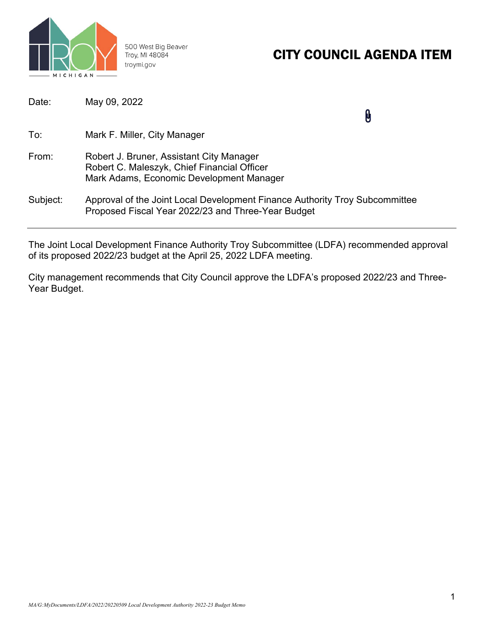

500 West Big Beaver Troy, MI 48084 troymi.gov

# CITY COUNCIL AGENDA ITEM

| Date:    | May 09, 2022                                                                                                                        |  |
|----------|-------------------------------------------------------------------------------------------------------------------------------------|--|
| To:      | Mark F. Miller, City Manager                                                                                                        |  |
| From:    | Robert J. Bruner, Assistant City Manager<br>Robert C. Maleszyk, Chief Financial Officer<br>Mark Adams, Economic Development Manager |  |
| Subject: | Approval of the Joint Local Development Finance Authority Troy Subcommittee<br>Proposed Fiscal Year 2022/23 and Three-Year Budget   |  |

The Joint Local Development Finance Authority Troy Subcommittee (LDFA) recommended approval of its proposed 2022/23 budget at the April 25, 2022 LDFA meeting.

City management recommends that City Council approve the LDFA's proposed 2022/23 and Three-Year Budget.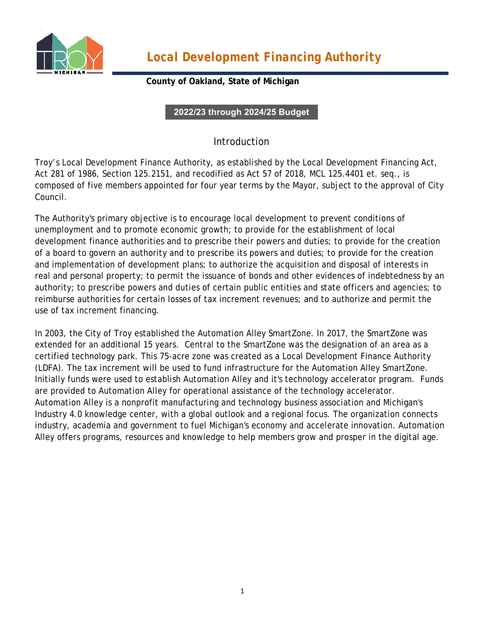

*Local Development Financing Authority*

### **County of Oakland, State of Michigan**

**2022/23 through 2024/25 Budget**

## Introduction

Troy's Local Development Finance Authority, as established by the Local Development Financing Act, Act 281 of 1986, Section 125.2151, and recodified as Act 57 of 2018, MCL 125.4401 et. seq., is composed of five members appointed for four year terms by the Mayor, subject to the approval of City Council.

The Authority's primary objective is to encourage local development to prevent conditions of unemployment and to promote economic growth; to provide for the establishment of local development finance authorities and to prescribe their powers and duties; to provide for the creation of a board to govern an authority and to prescribe its powers and duties; to provide for the creation and implementation of development plans; to authorize the acquisition and disposal of interests in real and personal property; to permit the issuance of bonds and other evidences of indebtedness by an authority; to prescribe powers and duties of certain public entities and state officers and agencies; to reimburse authorities for certain losses of tax increment revenues; and to authorize and permit the use of tax increment financing.

In 2003, the City of Troy established the Automation Alley SmartZone. In 2017, the SmartZone was extended for an additional 15 years. Central to the SmartZone was the designation of an area as a certified technology park. This 75-acre zone was created as a Local Development Finance Authority (LDFA). The tax increment will be used to fund infrastructure for the Automation Alley SmartZone. Initially funds were used to establish Automation Alley and it's technology accelerator program. Funds are provided to Automation Alley for operational assistance of the technology accelerator. Automation Alley is a nonprofit manufacturing and technology business association and Michigan's Industry 4.0 knowledge center, with a global outlook and a regional focus. The organization connects industry, academia and government to fuel Michigan's economy and accelerate innovation. Automation Alley offers programs, resources and knowledge to help members grow and prosper in the digital age.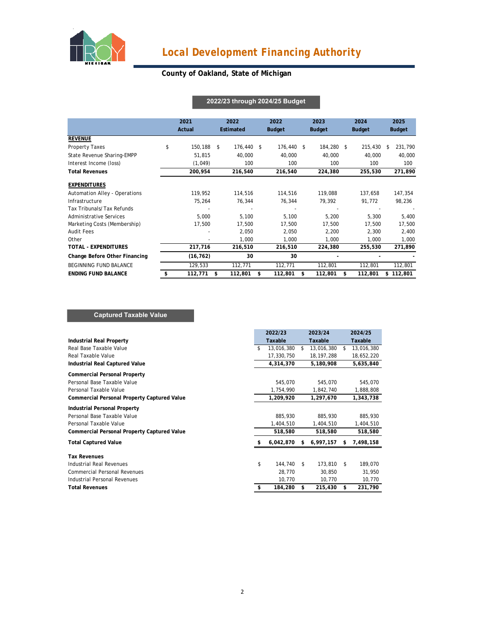

# *Local Development Financing Authority*

### **County of Oakland, State of Michigan**

|                               |    | 2021<br>Actual |      | 2022<br>Estimated | 2022<br><b>Budget</b> |            | 2023<br><b>Budget</b> |            | 2024<br><b>Budget</b> |         | 2025<br><b>Budget</b> |           |
|-------------------------------|----|----------------|------|-------------------|-----------------------|------------|-----------------------|------------|-----------------------|---------|-----------------------|-----------|
| <b>REVENUE</b>                |    |                |      |                   |                       |            |                       |            |                       |         |                       |           |
| Property Taxes                | \$ | 150,188        | - \$ | 176,440 \$        |                       | 176,440 \$ |                       | 184,280 \$ |                       | 215,430 | \$.                   | 231,790   |
| State Revenue Sharing-EMPP    |    | 51,815         |      | 40,000            |                       | 40,000     |                       | 40,000     |                       | 40,000  |                       | 40,000    |
| Interest Income (loss)        |    | (1,049)        |      | 100               |                       | 100        |                       | 100        |                       | 100     |                       | 100       |
| <b>Total Revenues</b>         |    | 200,954        |      | 216,540           |                       | 216,540    |                       | 224,380    |                       | 255,530 |                       | 271,890   |
| <b>EXPENDITURES</b>           |    |                |      |                   |                       |            |                       |            |                       |         |                       |           |
| Automation Alley - Operations |    | 119,952        |      | 114,516           |                       | 114,516    |                       | 119,088    |                       | 137,658 |                       | 147,354   |
| Infrastructure                |    | 75,264         |      | 76,344            |                       | 76,344     |                       | 79,392     |                       | 91,772  |                       | 98,236    |
| Tax Tribunals/Tax Refunds     |    |                |      |                   |                       |            |                       |            |                       |         |                       |           |
| Administrative Services       |    | 5,000          |      | 5,100             |                       | 5,100      |                       | 5,200      |                       | 5,300   |                       | 5,400     |
| Marketing Costs (Membership)  |    | 17,500         |      | 17,500            |                       | 17,500     |                       | 17,500     |                       | 17,500  |                       | 17,500    |
| <b>Audit Fees</b>             |    |                |      | 2.050             |                       | 2,050      |                       | 2,200      |                       | 2,300   |                       | 2,400     |
| Other                         |    |                |      | 1,000             |                       | 1,000      |                       | 1,000      |                       | 1,000   |                       | 1,000     |
| <b>TOTAL - EXPENDITURES</b>   |    | 217,716        |      | 216,510           |                       | 216,510    |                       | 224,380    |                       | 255,530 |                       | 271,890   |
| Change Before Other Financing |    | (16, 762)      |      | 30                |                       | 30         |                       |            |                       |         |                       |           |
| BEGINNING FUND BALANCE        |    | 129,533        |      | 112,771           |                       | 112,771    |                       | 112,801    |                       | 112,801 |                       | 112,801   |
| <b>ENDING FUND BALANCE</b>    |    | 112,771        | \$   | 112,801           | \$                    | 112,801    | \$                    | 112,801    | \$                    | 112,801 |                       | \$112,801 |

#### **2022/23 through 2024/25 Budget**

#### **Captured Taxable Value**

|                                                    | 2022/23          | 2023/24          |    | 2024/25    |
|----------------------------------------------------|------------------|------------------|----|------------|
| Industrial Real Property                           | Taxable          | Taxable          |    | Taxable    |
| Real Base Taxable Value                            | \$<br>13,016,380 | \$<br>13,016,380 | S  | 13,016,380 |
| Real Taxable Value                                 | 17,330,750       | 18, 197, 288     |    | 18,652,220 |
| Industrial Real Captured Value                     | 4,314,370        | 5,180,908        |    | 5,635,840  |
| <b>Commercial Personal Property</b>                |                  |                  |    |            |
| Personal Base Taxable Value                        | 545,070          | 545,070          |    | 545,070    |
| Personal Taxable Value                             | 1,754,990        | 1,842,740        |    | 1,888,808  |
| <b>Commercial Personal Property Captured Value</b> | 1,209,920        | 1,297,670        |    | 1,343,738  |
| <b>Industrial Personal Property</b>                |                  |                  |    |            |
| Personal Base Taxable Value                        | 885,930          | 885,930          |    | 885,930    |
| Personal Taxable Value                             | 1,404,510        | 1,404,510        |    | 1,404,510  |
| Commercial Personal Property Captured Value        | 518,580          | 518,580          |    | 518,580    |
| <b>Total Captured Value</b>                        | 6,042,870        | \$<br>6,997,157  | \$ | 7,498,158  |
| <b>Tax Revenues</b>                                |                  |                  |    |            |
| Industrial Real Revenues                           | \$<br>144,740    | \$<br>173,810    | \$ | 189,070    |
| <b>Commercial Personal Revenues</b>                | 28,770           | 30,850           |    | 31,950     |
| Industrial Personal Revenues                       | 10,770           | 10,770           |    | 10,770     |
| <b>Total Revenues</b>                              | 184,280          | \$<br>215,430    | \$ | 231,790    |